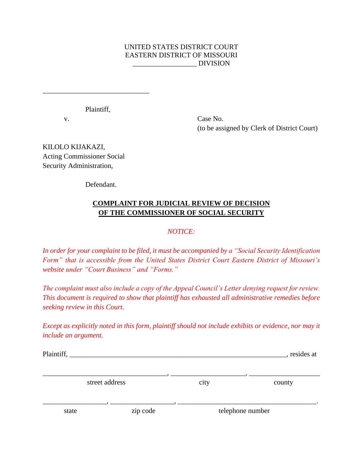#### UNITED STATES DISTRICT COURT EASTERN DISTRICT OF MISSOURI \_\_\_\_\_\_\_\_\_\_\_\_\_\_\_\_\_\_ DIVISION

Plaintiff,

\_\_\_\_\_\_\_\_\_\_\_\_\_\_\_\_\_\_\_\_\_\_\_\_\_\_\_\_\_\_

v. Case No. (to be assigned by Clerk of District Court)

KILOLO KIJAKAZI, Acting Commissioner Social Security Administration,

Defendant.

# **COMPLAINT FOR JUDICIAL REVIEW OF DECISION OF THE COMMISSIONER OF SOCIAL SECURITY**

## *NOTICE:*

*In order for your complaint to be filed, it must be accompanied by a "Social Security Identification Form" that is accessible from the United States District Court Eastern District of Missouri's website under "Court Business" and "Forms."* 

*The complaint must also include a copy of the Appeal Council's Letter denying request for review. This document is required to show that plaintiff has exhausted all administrative remedies before seeking review in this Court.* 

*Except as explicitly noted in this form, plaintiff should not include exhibits or evidence, nor may it include an argument.* 

\_\_\_\_\_\_\_\_\_\_\_\_\_\_\_\_\_\_, \_\_\_\_\_\_\_\_\_\_\_\_\_\_\_\_\_\_, \_\_\_\_\_\_\_\_\_\_\_\_\_\_\_\_\_\_\_\_\_\_\_\_\_\_\_\_\_\_\_\_\_\_\_\_\_\_\_.

Plaintiff, the contract of the contract of the contract of the contract of the contract of the contract of the contract of the contract of the contract of the contract of the contract of the contract of the contract of the

\_\_\_\_\_\_\_\_\_\_\_\_\_\_\_\_\_\_\_\_\_\_\_\_\_\_\_\_\_\_\_\_\_\_\_, \_\_\_\_\_\_\_\_\_\_\_\_\_\_\_\_\_\_\_\_\_, \_\_\_\_\_\_\_\_\_\_\_\_\_\_\_\_\_\_\_\_ street address city county

state zip code telephone number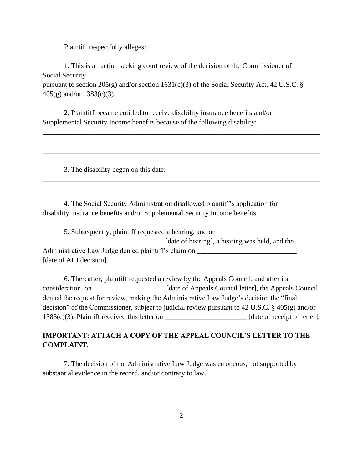Plaintiff respectfully alleges:

1. This is an action seeking court review of the decision of the Commissioner of Social Security

pursuant to section 205(g) and/or section  $1631(c)(3)$  of the Social Security Act, 42 U.S.C. § 405(g) and/or 1383(c)(3).

\_\_\_\_\_\_\_\_\_\_\_\_\_\_\_\_\_\_\_\_\_\_\_\_\_\_\_\_\_\_\_\_\_\_\_\_\_\_\_\_\_\_\_\_\_\_\_\_\_\_\_\_\_\_\_\_\_\_\_\_\_\_\_\_\_\_\_\_\_\_\_\_\_\_\_\_\_\_ \_\_\_\_\_\_\_\_\_\_\_\_\_\_\_\_\_\_\_\_\_\_\_\_\_\_\_\_\_\_\_\_\_\_\_\_\_\_\_\_\_\_\_\_\_\_\_\_\_\_\_\_\_\_\_\_\_\_\_\_\_\_\_\_\_\_\_\_\_\_\_\_\_\_\_\_\_\_ \_\_\_\_\_\_\_\_\_\_\_\_\_\_\_\_\_\_\_\_\_\_\_\_\_\_\_\_\_\_\_\_\_\_\_\_\_\_\_\_\_\_\_\_\_\_\_\_\_\_\_\_\_\_\_\_\_\_\_\_\_\_\_\_\_\_\_\_\_\_\_\_\_\_\_\_\_\_ \_\_\_\_\_\_\_\_\_\_\_\_\_\_\_\_\_\_\_\_\_\_\_\_\_\_\_\_\_\_\_\_\_\_\_\_\_\_\_\_\_\_\_\_\_\_\_\_\_\_\_\_\_\_\_\_\_\_\_\_\_\_\_\_\_\_\_\_\_\_\_\_\_\_\_\_\_\_

\_\_\_\_\_\_\_\_\_\_\_\_\_\_\_\_\_\_\_\_\_\_\_\_\_\_\_\_\_\_\_\_\_\_\_\_\_\_\_\_\_\_\_\_\_\_\_\_\_\_\_\_\_\_\_\_\_\_\_\_\_\_\_\_\_\_\_\_\_\_\_\_\_\_\_\_\_\_

2. Plaintiff became entitled to receive disability insurance benefits and/or Supplemental Security Income benefits because of the following disability:

3. The disability began on this date:

4. The Social Security Administration disallowed plaintiff's application for disability insurance benefits and/or Supplemental Security Income benefits.

5. Subsequently, plaintiff requested a hearing, and on

\_\_\_\_\_\_\_\_\_\_\_\_\_\_\_\_\_\_\_\_\_\_\_\_\_\_\_\_\_\_\_\_\_\_ [date of hearing], a hearing was held, and the Administrative Law Judge denied plaintiff's claim on \_\_\_\_\_\_\_\_\_\_\_\_\_\_\_\_\_\_\_\_\_\_\_\_\_\_\_ [date of ALJ decision].

6. Thereafter, plaintiff requested a review by the Appeals Council, and after its consideration, on \_\_\_\_\_\_\_\_\_\_\_\_\_\_\_\_\_\_\_\_ [date of Appeals Council letter], the Appeals Council denied the request for review, making the Administrative Law Judge's decision the "final decision" of the Commissioner, subject to judicial review pursuant to 42 U.S.C. § 405(g) and/or 1383(c)(3). Plaintiff received this letter on \_\_\_\_\_\_\_\_\_\_\_\_\_\_\_\_\_\_\_\_\_\_\_\_\_\_\_\_ [date of receipt of letter].

### **IMPORTANT: ATTACH A COPY OF THE APPEAL COUNCIL'S LETTER TO THE COMPLAINT.**

7. The decision of the Administrative Law Judge was erroneous, not supported by substantial evidence in the record, and/or contrary to law.